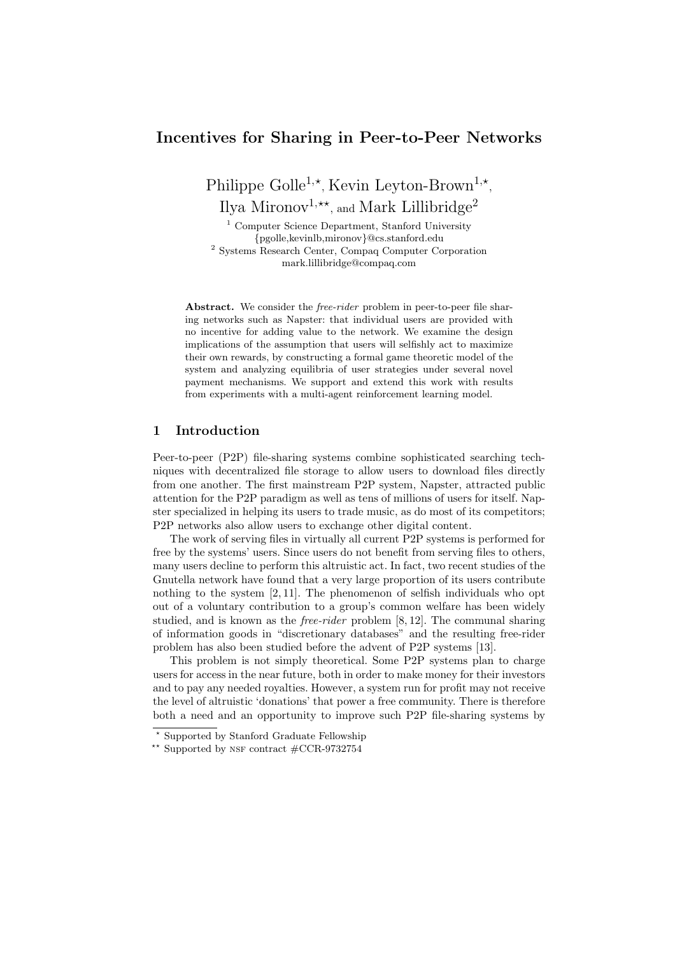# **Incentives for Sharing in Peer-to-Peer Networks**

Philippe Golle<sup>1,\*</sup>, Kevin Leyton-Brown<sup>1,\*</sup>, Ilya Mironov<sup>1,\*\*</sup>, and Mark Lillibridge<sup>2</sup>

<sup>1</sup> Computer Science Department, Stanford University {pgolle,kevinlb,mironov}@cs.stanford.edu <sup>2</sup> Systems Research Center, Compaq Computer Corporation mark.lillibridge@compaq.com

Abstract. We consider the *free-rider* problem in peer-to-peer file sharing networks such as Napster: that individual users are provided with no incentive for adding value to the network. We examine the design implications of the assumption that users will selfishly act to maximize their own rewards, by constructing a formal game theoretic model of the system and analyzing equilibria of user strategies under several novel payment mechanisms. We support and extend this work with results from experiments with a multi-agent reinforcement learning model.

## **1 Introduction**

Peer-to-peer (P2P) file-sharing systems combine sophisticated searching techniques with decentralized file storage to allow users to download files directly from one another. The first mainstream P2P system, Napster, attracted public attention for the P2P paradigm as well as tens of millions of users for itself. Napster specialized in helping its users to trade music, as do most of its competitors; P2P networks also allow users to exchange other digital content.

The work of serving files in virtually all current P2P systems is performed for free by the systems' users. Since users do not benefit from serving files to others, many users decline to perform this altruistic act. In fact, two recent studies of the Gnutella network have found that a very large proportion of its users contribute nothing to the system [2, 11]. The phenomenon of selfish individuals who opt out of a voluntary contribution to a group's common welfare has been widely studied, and is known as the *free-rider* problem  $[8, 12]$ . The communal sharing of information goods in "discretionary databases" and the resulting free-rider problem has also been studied before the advent of P2P systems [13].

This problem is not simply theoretical. Some P2P systems plan to charge users for access in the near future, both in order to make money for their investors and to pay any needed royalties. However, a system run for profit may not receive the level of altruistic 'donations' that power a free community. There is therefore both a need and an opportunity to improve such P2P file-sharing systems by

 $*$  Supported by Stanford Graduate Fellowship  $*$  Supported by NSF contract  $\#CCR-9732754$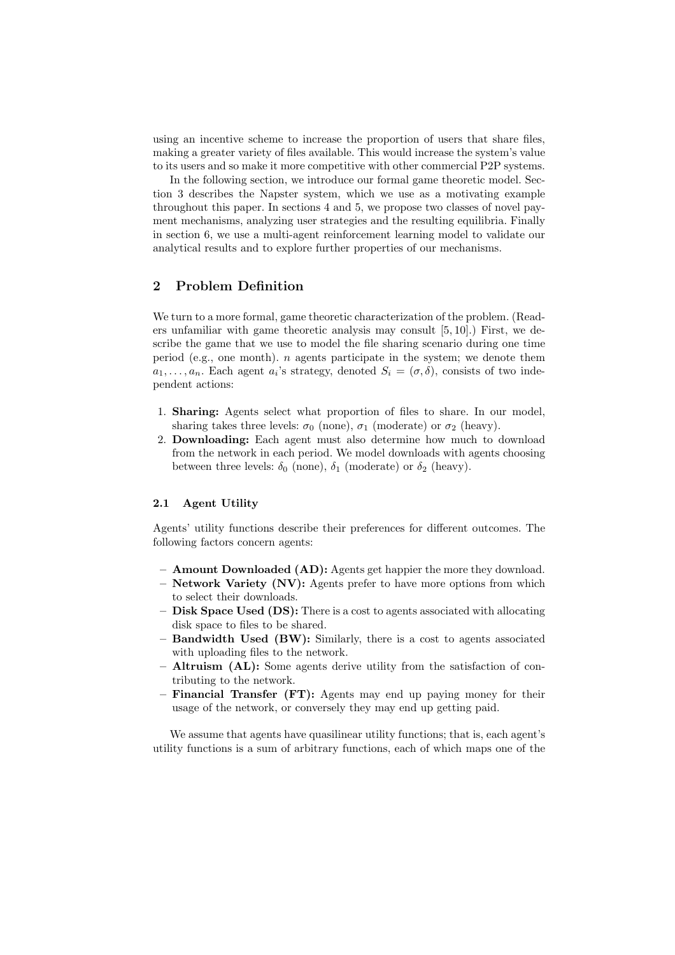using an incentive scheme to increase the proportion of users that share files, making a greater variety of files available. This would increase the system's value to its users and so make it more competitive with other commercial P2P systems.

In the following section, we introduce our formal game theoretic model. Section 3 describes the Napster system, which we use as a motivating example throughout this paper. In sections 4 and 5, we propose two classes of novel payment mechanisms, analyzing user strategies and the resulting equilibria. Finally in section 6, we use a multi-agent reinforcement learning model to validate our analytical results and to explore further properties of our mechanisms.

## **2 Problem Definition**

We turn to a more formal, game theoretic characterization of the problem. (Readers unfamiliar with game theoretic analysis may consult [5, 10].) First, we describe the game that we use to model the file sharing scenario during one time period (e.g., one month).  $n$  agents participate in the system; we denote them  $a_1,\ldots,a_n$ . Each agent  $a_i$ 's strategy, denoted  $S_i = (\sigma,\delta)$ , consists of two independent actions:

- 1. **Sharing:** Agents select what proportion of files to share. In our model, sharing takes three levels:  $\sigma_0$  (none),  $\sigma_1$  (moderate) or  $\sigma_2$  (heavy).
- 2. **Downloading:** Each agent must also determine how much to download from the network in each period. We model downloads with agents choosing between three levels:  $\delta_0$  (none),  $\delta_1$  (moderate) or  $\delta_2$  (heavy).

## **2.1 Agent Utility**

Agents' utility functions describe their preferences for different outcomes. The following factors concern agents:

- **Amount Downloaded (AD):** Agents get happier the more they download.
- **Network Variety (NV):** Agents prefer to have more options from which to select their downloads.
- **Disk Space Used (DS):** There is a cost to agents associated with allocating disk space to files to be shared.
- **Bandwidth Used (BW):** Similarly, there is a cost to agents associated with uploading files to the network.
- **Altruism (AL):** Some agents derive utility from the satisfaction of contributing to the network.
- **Financial Transfer (FT):** Agents may end up paying money for their usage of the network, or conversely they may end up getting paid.

We assume that agents have quasilinear utility functions; that is, each agent's utility functions is a sum of arbitrary functions, each of which maps one of the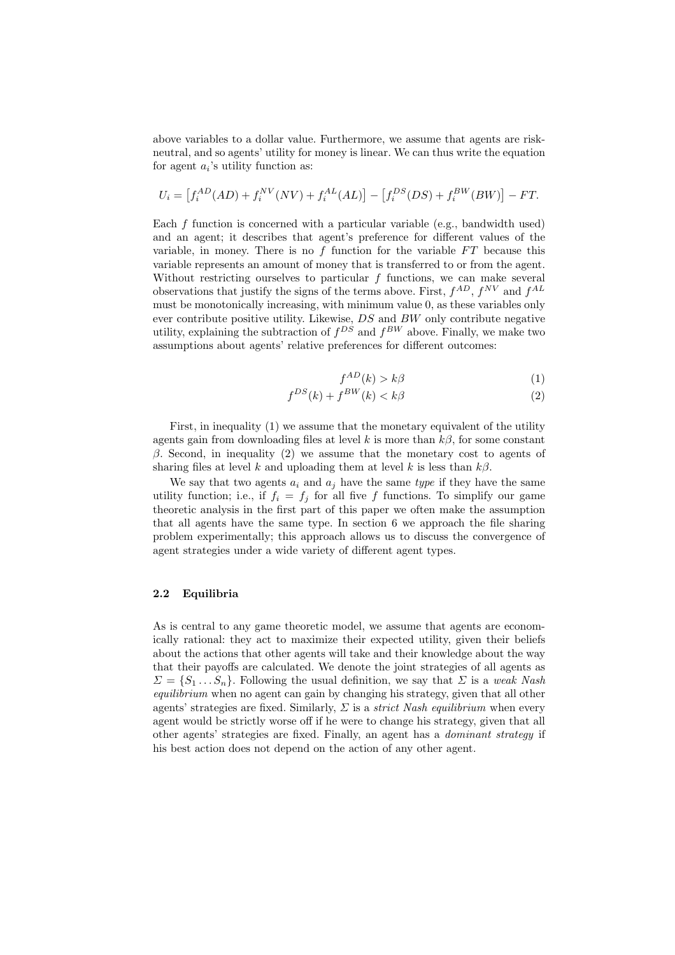above variables to a dollar value. Furthermore, we assume that agents are riskneutral, and so agents' utility for money is linear. We can thus write the equation for agent  $a_i$ 's utility function as:

$$
U_i = [f_i^{AD}(AD) + f_i^{NV}(NV) + f_i^{AL}(AL)] - [f_i^{DS}(DS) + f_i^{BW}(BW)] - FT.
$$

Each  $f$  function is concerned with a particular variable (e.g., bandwidth used) and an agent; it describes that agent's preference for different values of the variable, in money. There is no f function for the variable  $FT$  because this variable represents an amount of money that is transferred to or from the agent. Without restricting ourselves to particular  $f$  functions, we can make several observations that justify the signs of the terms above. First,  $f^{AD}$ ,  $f^{NV}$  and  $f^{AL}$ must be monotonically increasing, with minimum value 0, as these variables only ever contribute positive utility. Likewise, DS and BW only contribute negative utility, explaining the subtraction of  $f^{DS}$  and  $f^{BW}$  above. Finally, we make two assumptions about agents' relative preferences for different outcomes:

$$
f^{AD}(k) > k\beta \tag{1}
$$

$$
f^{DS}(k) + f^{BW}(k) < k\beta \tag{2}
$$

First, in inequality (1) we assume that the monetary equivalent of the utility agents gain from downloading files at level k is more than  $k\beta$ , for some constant β. Second, in inequality (2) we assume that the monetary cost to agents of sharing files at level k and uploading them at level k is less than  $k\beta$ .

We say that two agents  $a_i$  and  $a_j$  have the same type if they have the same utility function; i.e., if  $f_i = f_j$  for all five f functions. To simplify our game theoretic analysis in the first part of this paper we often make the assumption that all agents have the same type. In section 6 we approach the file sharing problem experimentally; this approach allows us to discuss the convergence of agent strategies under a wide variety of different agent types.

### **2.2 Equilibria**

As is central to any game theoretic model, we assume that agents are economically rational: they act to maximize their expected utility, given their beliefs about the actions that other agents will take and their knowledge about the way that their payoffs are calculated. We denote the joint strategies of all agents as  $\Sigma = \{S_1 \dots S_n\}$ . Following the usual definition, we say that  $\Sigma$  is a weak Nash equilibrium when no agent can gain by changing his strategy, given that all other agents' strategies are fixed. Similarly,  $\Sigma$  is a *strict Nash equilibrium* when every agent would be strictly worse off if he were to change his strategy, given that all other agents' strategies are fixed. Finally, an agent has a dominant strategy if his best action does not depend on the action of any other agent.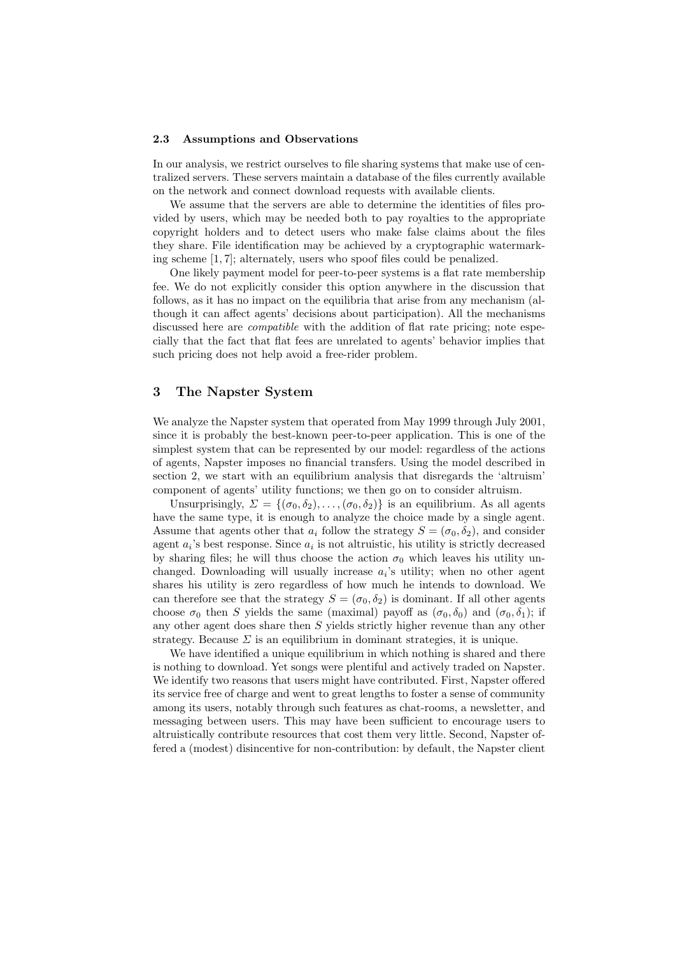#### **2.3 Assumptions and Observations**

In our analysis, we restrict ourselves to file sharing systems that make use of centralized servers. These servers maintain a database of the files currently available on the network and connect download requests with available clients.

We assume that the servers are able to determine the identities of files provided by users, which may be needed both to pay royalties to the appropriate copyright holders and to detect users who make false claims about the files they share. File identification may be achieved by a cryptographic watermarking scheme [1, 7]; alternately, users who spoof files could be penalized.

One likely payment model for peer-to-peer systems is a flat rate membership fee. We do not explicitly consider this option anywhere in the discussion that follows, as it has no impact on the equilibria that arise from any mechanism (although it can affect agents' decisions about participation). All the mechanisms discussed here are *compatible* with the addition of flat rate pricing; note especially that the fact that flat fees are unrelated to agents' behavior implies that such pricing does not help avoid a free-rider problem.

## **3 The Napster System**

We analyze the Napster system that operated from May 1999 through July 2001, since it is probably the best-known peer-to-peer application. This is one of the simplest system that can be represented by our model: regardless of the actions of agents, Napster imposes no financial transfers. Using the model described in section 2, we start with an equilibrium analysis that disregards the 'altruism' component of agents' utility functions; we then go on to consider altruism.

Unsurprisingly,  $\Sigma = \{(\sigma_0, \delta_2), \ldots, (\sigma_0, \delta_2)\}\$ is an equilibrium. As all agents have the same type, it is enough to analyze the choice made by a single agent. Assume that agents other that  $a_i$  follow the strategy  $S = (\sigma_0, \delta_2)$ , and consider agent  $a_i$ 's best response. Since  $a_i$  is not altruistic, his utility is strictly decreased by sharing files; he will thus choose the action  $\sigma_0$  which leaves his utility unchanged. Downloading will usually increase  $a_i$ 's utility; when no other agent shares his utility is zero regardless of how much he intends to download. We can therefore see that the strategy  $S = (\sigma_0, \delta_2)$  is dominant. If all other agents choose  $\sigma_0$  then S yields the same (maximal) payoff as  $(\sigma_0, \delta_0)$  and  $(\sigma_0, \delta_1)$ ; if any other agent does share then S yields strictly higher revenue than any other strategy. Because  $\Sigma$  is an equilibrium in dominant strategies, it is unique.

We have identified a unique equilibrium in which nothing is shared and there is nothing to download. Yet songs were plentiful and actively traded on Napster. We identify two reasons that users might have contributed. First, Napster offered its service free of charge and went to great lengths to foster a sense of community among its users, notably through such features as chat-rooms, a newsletter, and messaging between users. This may have been sufficient to encourage users to altruistically contribute resources that cost them very little. Second, Napster offered a (modest) disincentive for non-contribution: by default, the Napster client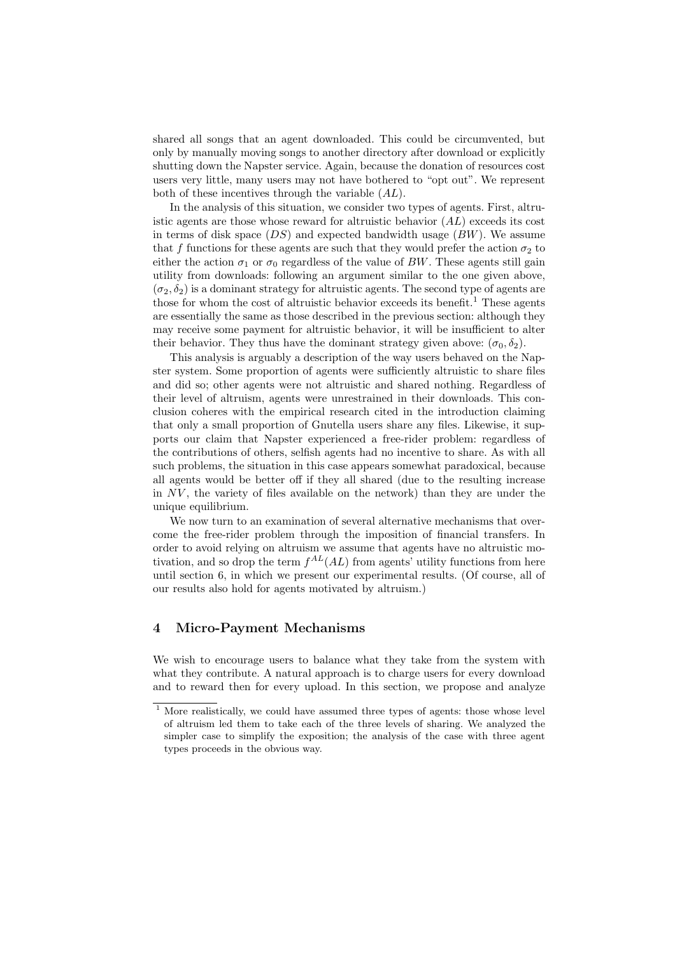shared all songs that an agent downloaded. This could be circumvented, but only by manually moving songs to another directory after download or explicitly shutting down the Napster service. Again, because the donation of resources cost users very little, many users may not have bothered to "opt out". We represent both of these incentives through the variable (AL).

In the analysis of this situation, we consider two types of agents. First, altruistic agents are those whose reward for altruistic behavior  $(AL)$  exceeds its cost in terms of disk space  $(DS)$  and expected bandwidth usage  $(BW)$ . We assume that f functions for these agents are such that they would prefer the action  $\sigma_2$  to either the action  $\sigma_1$  or  $\sigma_0$  regardless of the value of BW. These agents still gain utility from downloads: following an argument similar to the one given above,  $(\sigma_2, \delta_2)$  is a dominant strategy for altruistic agents. The second type of agents are those for whom the cost of altruistic behavior exceeds its benefit.<sup>1</sup> These agents are essentially the same as those described in the previous section: although they may receive some payment for altruistic behavior, it will be insufficient to alter their behavior. They thus have the dominant strategy given above:  $(\sigma_0, \delta_2)$ .

This analysis is arguably a description of the way users behaved on the Napster system. Some proportion of agents were sufficiently altruistic to share files and did so; other agents were not altruistic and shared nothing. Regardless of their level of altruism, agents were unrestrained in their downloads. This conclusion coheres with the empirical research cited in the introduction claiming that only a small proportion of Gnutella users share any files. Likewise, it supports our claim that Napster experienced a free-rider problem: regardless of the contributions of others, selfish agents had no incentive to share. As with all such problems, the situation in this case appears somewhat paradoxical, because all agents would be better off if they all shared (due to the resulting increase in  $NV$ , the variety of files available on the network) than they are under the unique equilibrium.

We now turn to an examination of several alternative mechanisms that overcome the free-rider problem through the imposition of financial transfers. In order to avoid relying on altruism we assume that agents have no altruistic motivation, and so drop the term  $f^{AL}(AL)$  from agents' utility functions from here until section 6, in which we present our experimental results. (Of course, all of our results also hold for agents motivated by altruism.)

## **4 Micro-Payment Mechanisms**

We wish to encourage users to balance what they take from the system with what they contribute. A natural approach is to charge users for every download and to reward then for every upload. In this section, we propose and analyze

<sup>&</sup>lt;sup>1</sup> More realistically, we could have assumed three types of agents: those whose level of altruism led them to take each of the three levels of sharing. We analyzed the simpler case to simplify the exposition; the analysis of the case with three agent types proceeds in the obvious way.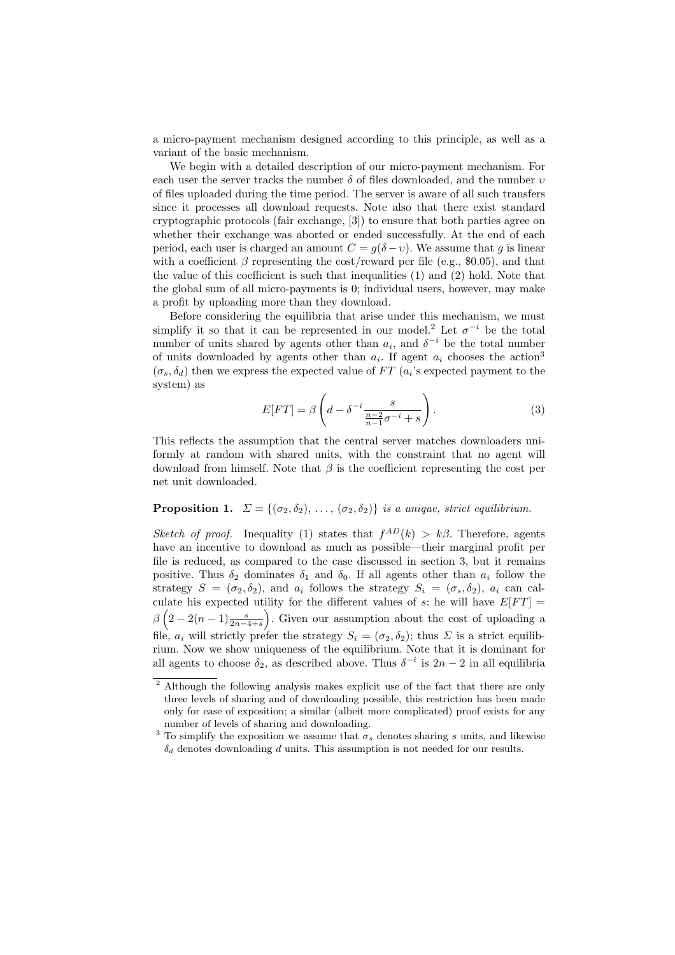a micro-payment mechanism designed according to this principle, as well as a variant of the basic mechanism.

We begin with a detailed description of our micro-payment mechanism. For each user the server tracks the number  $\delta$  of files downloaded, and the number  $v$ of files uploaded during the time period. The server is aware of all such transfers since it processes all download requests. Note also that there exist standard cryptographic protocols (fair exchange, [3]) to ensure that both parties agree on whether their exchange was aborted or ended successfully. At the end of each period, each user is charged an amount  $C = q(\delta - v)$ . We assume that q is linear with a coefficient  $\beta$  representing the cost/reward per file (e.g., \$0.05), and that the value of this coefficient is such that inequalities (1) and (2) hold. Note that the global sum of all micro-payments is 0; individual users, however, may make a profit by uploading more than they download.

Before considering the equilibria that arise under this mechanism, we must simplify it so that it can be represented in our model.<sup>2</sup> Let  $\sigma^{-i}$  be the total number of units shared by agents other than  $a_i$ , and  $\delta^{-i}$  be the total number of units downloaded by agents other than  $a_i$ . If agent  $a_i$  chooses the action<sup>3</sup>  $(\sigma_s, \delta_d)$  then we express the expected value of FT  $(a_i)$ 's expected payment to the system) as

$$
E[FT] = \beta \left( d - \delta^{-i} \frac{s}{\frac{n-2}{n-1} \sigma^{-i} + s} \right). \tag{3}
$$

This reflects the assumption that the central server matches downloaders uniformly at random with shared units, with the constraint that no agent will download from himself. Note that  $\beta$  is the coefficient representing the cost per net unit downloaded.

## **Proposition 1.**  $\Sigma = \{(\sigma_2, \delta_2), \ldots, (\sigma_2, \delta_2)\}\$ is a unique, strict equilibrium.

Sketch of proof. Inequality (1) states that  $f^{AD}(k) > k\beta$ . Therefore, agents have an incentive to download as much as possible—their marginal profit per file is reduced, as compared to the case discussed in section 3, but it remains positive. Thus  $\delta_2$  dominates  $\delta_1$  and  $\delta_0$ . If all agents other than  $a_i$  follow the strategy  $S = (\sigma_2, \delta_2)$ , and  $a_i$  follows the strategy  $S_i = (\sigma_s, \delta_2)$ ,  $a_i$  can calculate his expected utility for the different values of s: he will have  $E[FT] =$  $\beta\left(2-2(n-1)\frac{s}{2n-4+s}\right)$ . Given our assumption about the cost of uploading a file,  $a_i$  will strictly prefer the strategy  $S_i = (\sigma_2, \delta_2)$ ; thus  $\Sigma$  is a strict equilibrium. Now we show uniqueness of the equilibrium. Note that it is dominant for all agents to choose  $\delta_2$ , as described above. Thus  $\delta^{-i}$  is  $2n-2$  in all equilibria

<sup>2</sup> Although the following analysis makes explicit use of the fact that there are only three levels of sharing and of downloading possible, this restriction has been made only for ease of exposition; a similar (albeit more complicated) proof exists for any number of levels of sharing and downloading.

<sup>&</sup>lt;sup>3</sup> To simplify the exposition we assume that  $\sigma_s$  denotes sharing s units, and likewise  $\delta_d$  denotes downloading d units. This assumption is not needed for our results.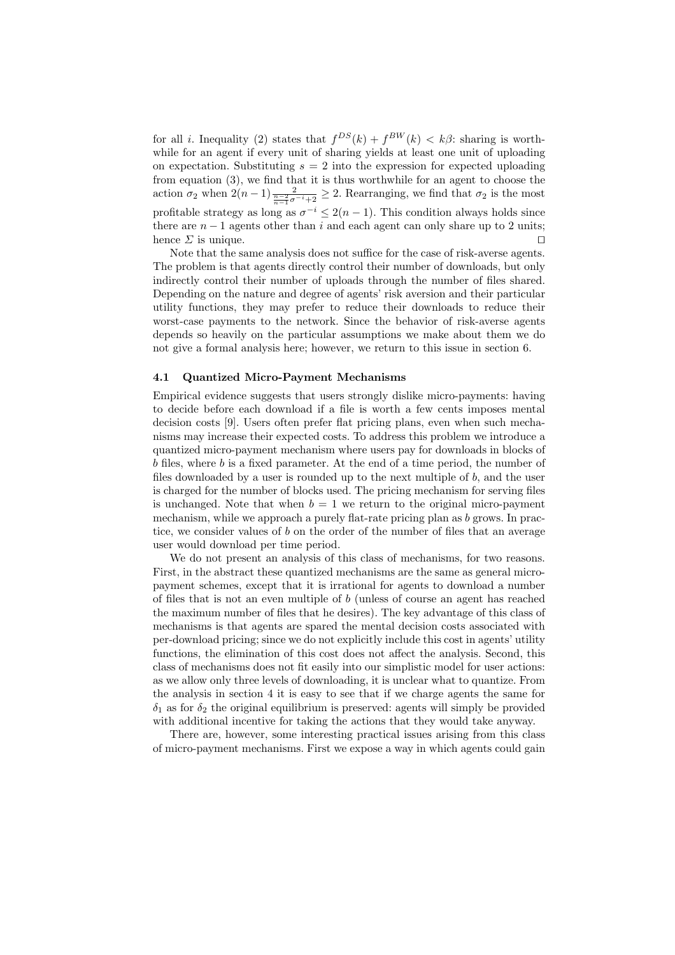for all *i*. Inequality (2) states that  $f^{DS}(k) + f^{BW}(k) < k\beta$ : sharing is worthwhile for an agent if every unit of sharing yields at least one unit of uploading on expectation. Substituting  $s = 2$  into the expression for expected uploading from equation (3), we find that it is thus worthwhile for an agent to choose the action  $\sigma_2$  when  $2(n-1) \frac{2}{\frac{n-2}{n-1}\sigma^{-i}+2} \geq 2$ . Rearranging, we find that  $\sigma_2$  is the most profitable strategy as long as  $\sigma^{-i} \leq 2(n-1)$ . This condition always holds since there are  $n-1$  agents other than i and each agent can only share up to 2 units; hence  $\Sigma$  is unique.

Note that the same analysis does not suffice for the case of risk-averse agents. The problem is that agents directly control their number of downloads, but only indirectly control their number of uploads through the number of files shared. Depending on the nature and degree of agents' risk aversion and their particular utility functions, they may prefer to reduce their downloads to reduce their worst-case payments to the network. Since the behavior of risk-averse agents depends so heavily on the particular assumptions we make about them we do not give a formal analysis here; however, we return to this issue in section 6.

#### **4.1 Quantized Micro-Payment Mechanisms**

Empirical evidence suggests that users strongly dislike micro-payments: having to decide before each download if a file is worth a few cents imposes mental decision costs [9]. Users often prefer flat pricing plans, even when such mechanisms may increase their expected costs. To address this problem we introduce a quantized micro-payment mechanism where users pay for downloads in blocks of b files, where b is a fixed parameter. At the end of a time period, the number of files downloaded by a user is rounded up to the next multiple of  $b$ , and the user is charged for the number of blocks used. The pricing mechanism for serving files is unchanged. Note that when  $b = 1$  we return to the original micro-payment mechanism, while we approach a purely flat-rate pricing plan as b grows. In practice, we consider values of b on the order of the number of files that an average user would download per time period.

We do not present an analysis of this class of mechanisms, for two reasons. First, in the abstract these quantized mechanisms are the same as general micropayment schemes, except that it is irrational for agents to download a number of files that is not an even multiple of b (unless of course an agent has reached the maximum number of files that he desires). The key advantage of this class of mechanisms is that agents are spared the mental decision costs associated with per-download pricing; since we do not explicitly include this cost in agents' utility functions, the elimination of this cost does not affect the analysis. Second, this class of mechanisms does not fit easily into our simplistic model for user actions: as we allow only three levels of downloading, it is unclear what to quantize. From the analysis in section 4 it is easy to see that if we charge agents the same for  $\delta_1$  as for  $\delta_2$  the original equilibrium is preserved: agents will simply be provided with additional incentive for taking the actions that they would take anyway.

There are, however, some interesting practical issues arising from this class of micro-payment mechanisms. First we expose a way in which agents could gain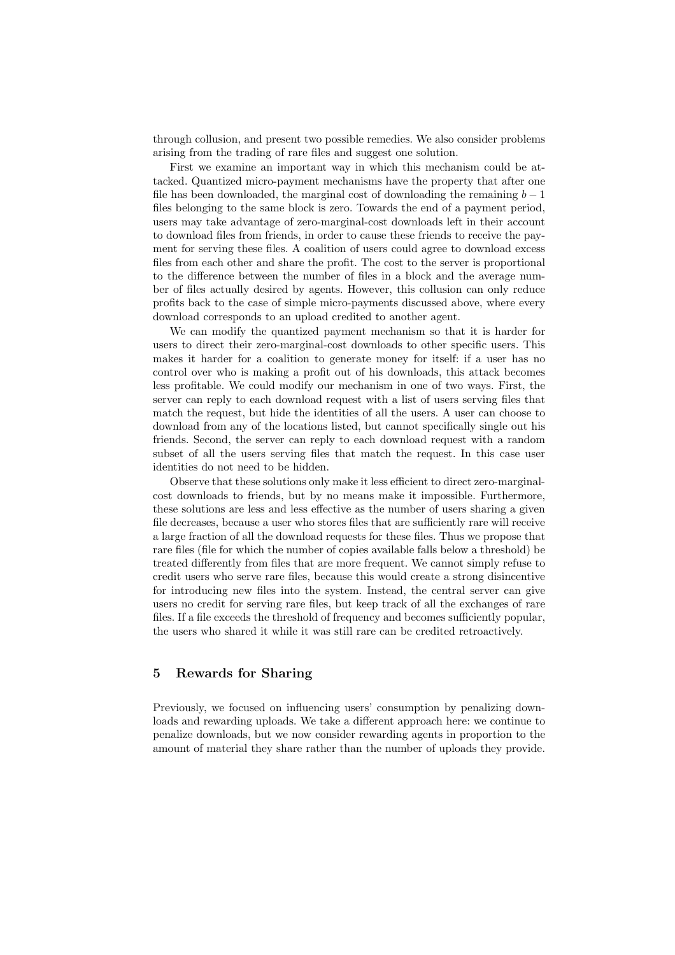through collusion, and present two possible remedies. We also consider problems arising from the trading of rare files and suggest one solution.

First we examine an important way in which this mechanism could be attacked. Quantized micro-payment mechanisms have the property that after one file has been downloaded, the marginal cost of downloading the remaining  $b-1$ files belonging to the same block is zero. Towards the end of a payment period, users may take advantage of zero-marginal-cost downloads left in their account to download files from friends, in order to cause these friends to receive the payment for serving these files. A coalition of users could agree to download excess files from each other and share the profit. The cost to the server is proportional to the difference between the number of files in a block and the average number of files actually desired by agents. However, this collusion can only reduce profits back to the case of simple micro-payments discussed above, where every download corresponds to an upload credited to another agent.

We can modify the quantized payment mechanism so that it is harder for users to direct their zero-marginal-cost downloads to other specific users. This makes it harder for a coalition to generate money for itself: if a user has no control over who is making a profit out of his downloads, this attack becomes less profitable. We could modify our mechanism in one of two ways. First, the server can reply to each download request with a list of users serving files that match the request, but hide the identities of all the users. A user can choose to download from any of the locations listed, but cannot specifically single out his friends. Second, the server can reply to each download request with a random subset of all the users serving files that match the request. In this case user identities do not need to be hidden.

Observe that these solutions only make it less efficient to direct zero-marginalcost downloads to friends, but by no means make it impossible. Furthermore, these solutions are less and less effective as the number of users sharing a given file decreases, because a user who stores files that are sufficiently rare will receive a large fraction of all the download requests for these files. Thus we propose that rare files (file for which the number of copies available falls below a threshold) be treated differently from files that are more frequent. We cannot simply refuse to credit users who serve rare files, because this would create a strong disincentive for introducing new files into the system. Instead, the central server can give users no credit for serving rare files, but keep track of all the exchanges of rare files. If a file exceeds the threshold of frequency and becomes sufficiently popular, the users who shared it while it was still rare can be credited retroactively.

### **5 Rewards for Sharing**

Previously, we focused on influencing users' consumption by penalizing downloads and rewarding uploads. We take a different approach here: we continue to penalize downloads, but we now consider rewarding agents in proportion to the amount of material they share rather than the number of uploads they provide.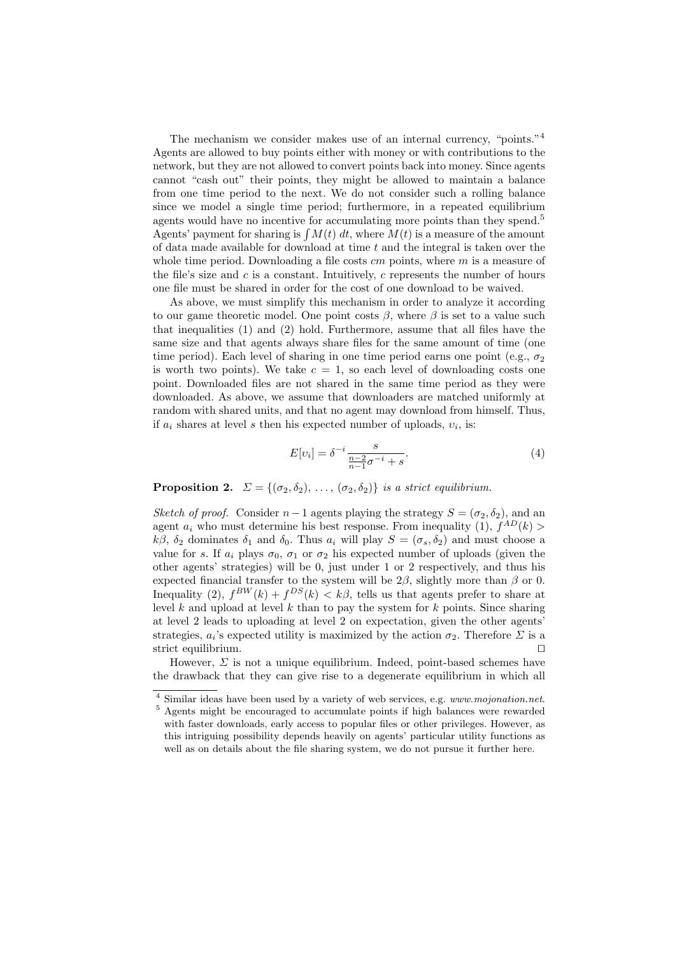The mechanism we consider makes use of an internal currency, "points."<sup>4</sup> Agents are allowed to buy points either with money or with contributions to the network, but they are not allowed to convert points back into money. Since agents cannot "cash out" their points, they might be allowed to maintain a balance from one time period to the next. We do not consider such a rolling balance since we model a single time period; furthermore, in a repeated equilibrium agents would have no incentive for accumulating more points than they spend.<sup>5</sup> Agents' payment for sharing is  $\int M(t) dt$ , where  $M(t)$  is a measure of the amount of data made available for download at time  $t$  and the integral is taken over the whole time period. Downloading a file costs  $cm$  points, where  $m$  is a measure of the file's size and  $c$  is a constant. Intuitively,  $c$  represents the number of hours one file must be shared in order for the cost of one download to be waived.

As above, we must simplify this mechanism in order to analyze it according to our game theoretic model. One point costs  $\beta$ , where  $\beta$  is set to a value such that inequalities (1) and (2) hold. Furthermore, assume that all files have the same size and that agents always share files for the same amount of time (one time period). Each level of sharing in one time period earns one point (e.g.,  $\sigma_2$ ) is worth two points). We take  $c = 1$ , so each level of downloading costs one point. Downloaded files are not shared in the same time period as they were downloaded. As above, we assume that downloaders are matched uniformly at random with shared units, and that no agent may download from himself. Thus, if  $a_i$  shares at level s then his expected number of uploads,  $v_i$ , is:

$$
E[v_i] = \delta^{-i} \frac{s}{\frac{n-2}{n-1}\sigma^{-i} + s}.
$$
\n(4)

**Proposition 2.**  $\Sigma = \{(\sigma_2, \delta_2), \ldots, (\sigma_2, \delta_2)\}\$ is a strict equilibrium.

Sketch of proof. Consider  $n-1$  agents playing the strategy  $S = (\sigma_2, \delta_2)$ , and an agent  $a_i$  who must determine his best response. From inequality (1),  $f^{AD}(k)$ kβ,  $\delta_2$  dominates  $\delta_1$  and  $\delta_0$ . Thus  $a_i$  will play  $S = (\sigma_s, \delta_2)$  and must choose a value for s. If  $a_i$  plays  $\sigma_0$ ,  $\sigma_1$  or  $\sigma_2$  his expected number of uploads (given the other agents' strategies) will be 0, just under 1 or 2 respectively, and thus his expected financial transfer to the system will be  $2\beta$ , slightly more than  $\beta$  or 0. Inequality (2),  $f^{BW}(k) + f^{DS}(k) < k\beta$ , tells us that agents prefer to share at level k and upload at level k than to pay the system for k points. Since sharing at level 2 leads to uploading at level 2 on expectation, given the other agents' strategies,  $a_i$ 's expected utility is maximized by the action  $\sigma_2$ . Therefore  $\Sigma$  is a strict equilibrium.

However,  $\Sigma$  is not a unique equilibrium. Indeed, point-based schemes have the drawback that they can give rise to a degenerate equilibrium in which all

<sup>&</sup>lt;sup>4</sup> Similar ideas have been used by a variety of web services, e.g. www.mojonation.net. <sup>5</sup> Agents might be encouraged to accumulate points if high balances were rewarded with faster downloads, early access to popular files or other privileges. However, as this intriguing possibility depends heavily on agents' particular utility functions as well as on details about the file sharing system, we do not pursue it further here.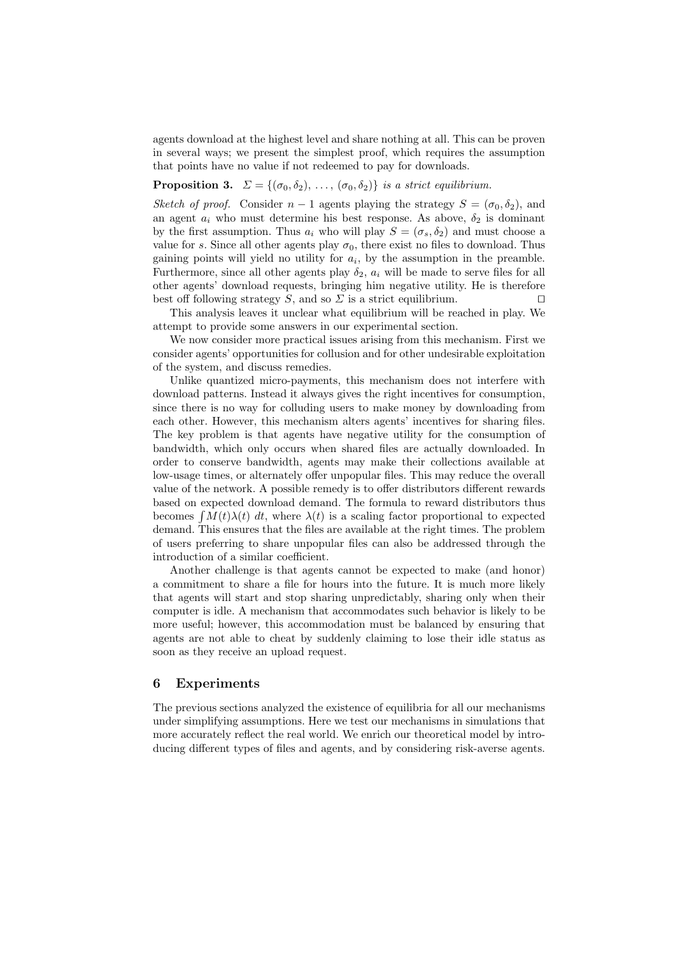agents download at the highest level and share nothing at all. This can be proven in several ways; we present the simplest proof, which requires the assumption that points have no value if not redeemed to pay for downloads.

### **Proposition 3.**  $\Sigma = \{(\sigma_0, \delta_2), \ldots, (\sigma_0, \delta_2)\}\$ is a strict equilibrium.

Sketch of proof. Consider  $n-1$  agents playing the strategy  $S = (\sigma_0, \delta_2)$ , and an agent  $a_i$  who must determine his best response. As above,  $\delta_2$  is dominant by the first assumption. Thus  $a_i$  who will play  $S = (\sigma_s, \delta_2)$  and must choose a value for s. Since all other agents play  $\sigma_0$ , there exist no files to download. Thus gaining points will yield no utility for  $a_i$ , by the assumption in the preamble. Furthermore, since all other agents play  $\delta_2$ ,  $a_i$  will be made to serve files for all other agents' download requests, bringing him negative utility. He is therefore best off following strategy S, and so  $\Sigma$  is a strict equilibrium.

This analysis leaves it unclear what equilibrium will be reached in play. We attempt to provide some answers in our experimental section.

We now consider more practical issues arising from this mechanism. First we consider agents' opportunities for collusion and for other undesirable exploitation of the system, and discuss remedies.

Unlike quantized micro-payments, this mechanism does not interfere with download patterns. Instead it always gives the right incentives for consumption, since there is no way for colluding users to make money by downloading from each other. However, this mechanism alters agents' incentives for sharing files. The key problem is that agents have negative utility for the consumption of bandwidth, which only occurs when shared files are actually downloaded. In order to conserve bandwidth, agents may make their collections available at low-usage times, or alternately offer unpopular files. This may reduce the overall value of the network. A possible remedy is to offer distributors different rewards based on expected download demand. The formula to reward distributors thus becomes  $\int M(t)\lambda(t) dt$ , where  $\lambda(t)$  is a scaling factor proportional to expected demand. This ensures that the files are available at the right times. The problem of users preferring to share unpopular files can also be addressed through the introduction of a similar coefficient.

Another challenge is that agents cannot be expected to make (and honor) a commitment to share a file for hours into the future. It is much more likely that agents will start and stop sharing unpredictably, sharing only when their computer is idle. A mechanism that accommodates such behavior is likely to be more useful; however, this accommodation must be balanced by ensuring that agents are not able to cheat by suddenly claiming to lose their idle status as soon as they receive an upload request.

#### **6 Experiments**

The previous sections analyzed the existence of equilibria for all our mechanisms under simplifying assumptions. Here we test our mechanisms in simulations that more accurately reflect the real world. We enrich our theoretical model by introducing different types of files and agents, and by considering risk-averse agents.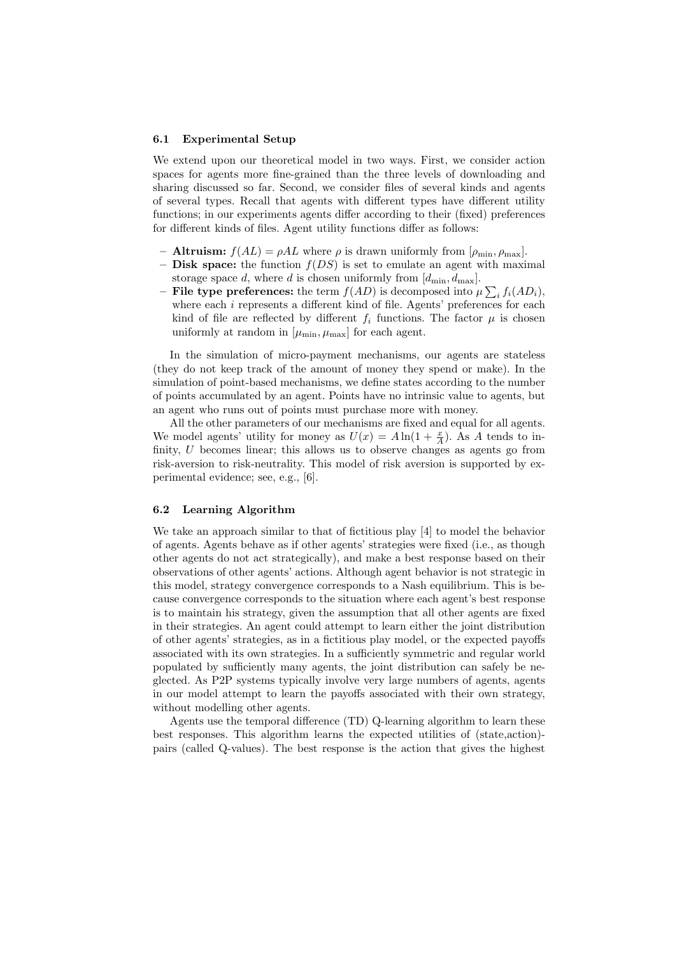#### **6.1 Experimental Setup**

We extend upon our theoretical model in two ways. First, we consider action spaces for agents more fine-grained than the three levels of downloading and sharing discussed so far. Second, we consider files of several kinds and agents of several types. Recall that agents with different types have different utility functions; in our experiments agents differ according to their (fixed) preferences for different kinds of files. Agent utility functions differ as follows:

- **Altruism:**  $f(AL) = \rho AL$  where  $\rho$  is drawn uniformly from  $[\rho_{\min}, \rho_{\max}]$ .
- **Disk space:** the function  $f(DS)$  is set to emulate an agent with maximal storage space d, where d is chosen uniformly from  $[d_{\min}, d_{\max}]$ .
- **File type preferences:** the term  $f(AD)$  is decomposed into  $\mu \sum_i f_i(AD_i)$ , where each  $i$  represents a different kind of file. Agents' preferences for each kind of file are reflected by different  $f_i$  functions. The factor  $\mu$  is chosen uniformly at random in  $[\mu_{\min}, \mu_{\max}]$  for each agent.

In the simulation of micro-payment mechanisms, our agents are stateless (they do not keep track of the amount of money they spend or make). In the simulation of point-based mechanisms, we define states according to the number of points accumulated by an agent. Points have no intrinsic value to agents, but an agent who runs out of points must purchase more with money.

All the other parameters of our mechanisms are fixed and equal for all agents. We model agents' utility for money as  $U(x) = A \ln(1 + \frac{x}{A})$ . As A tends to infinity, U becomes linear; this allows us to observe changes as agents go from risk-aversion to risk-neutrality. This model of risk aversion is supported by experimental evidence; see, e.g., [6].

#### **6.2 Learning Algorithm**

We take an approach similar to that of fictitious play [4] to model the behavior of agents. Agents behave as if other agents' strategies were fixed (i.e., as though other agents do not act strategically), and make a best response based on their observations of other agents' actions. Although agent behavior is not strategic in this model, strategy convergence corresponds to a Nash equilibrium. This is because convergence corresponds to the situation where each agent's best response is to maintain his strategy, given the assumption that all other agents are fixed in their strategies. An agent could attempt to learn either the joint distribution of other agents' strategies, as in a fictitious play model, or the expected payoffs associated with its own strategies. In a sufficiently symmetric and regular world populated by sufficiently many agents, the joint distribution can safely be neglected. As P2P systems typically involve very large numbers of agents, agents in our model attempt to learn the payoffs associated with their own strategy, without modelling other agents.

Agents use the temporal difference (TD) Q-learning algorithm to learn these best responses. This algorithm learns the expected utilities of (state,action) pairs (called Q-values). The best response is the action that gives the highest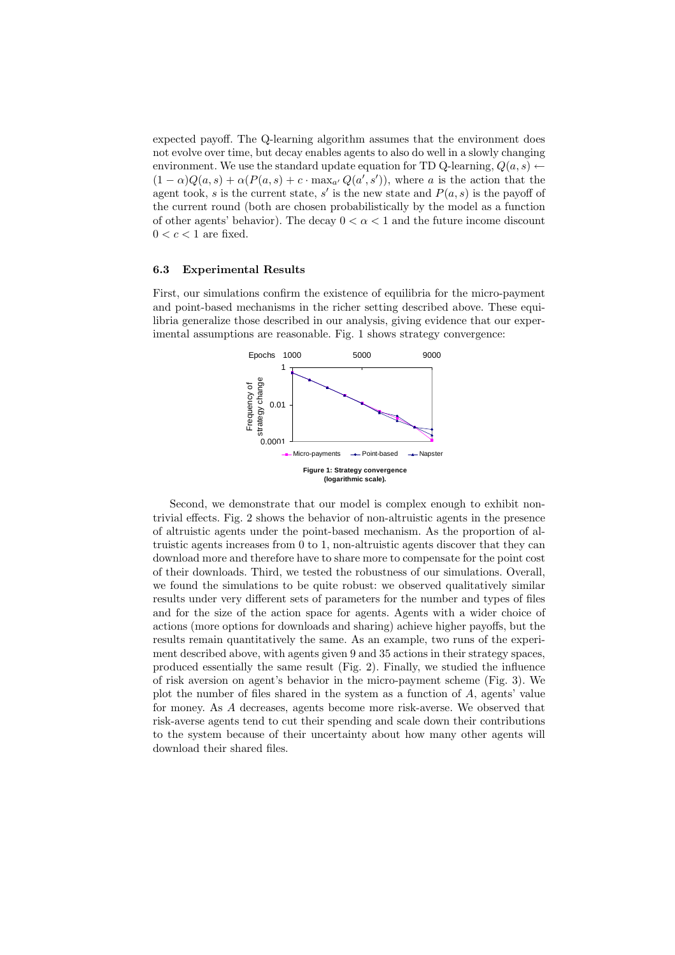expected payoff. The Q-learning algorithm assumes that the environment does not evolve over time, but decay enables agents to also do well in a slowly changing environment. We use the standard update equation for TD Q-learning,  $Q(a, s) \leftarrow$  $(1-\alpha)Q(a,s) + \alpha(P(a,s) + c \cdot \max_{a'} Q(a',s'))$ , where a is the action that the agent took, s is the current state, s' is the new state and  $P(a, s)$  is the payoff of the current round (both are chosen probabilistically by the model as a function of other agents' behavior). The decay  $0 < \alpha < 1$  and the future income discount  $0 < c < 1$  are fixed.

#### **6.3 Experimental Results**

First, our simulations confirm the existence of equilibria for the micro-payment and point-based mechanisms in the richer setting described above. These equilibria generalize those described in our analysis, giving evidence that our experimental assumptions are reasonable. Fig. 1 shows strategy convergence:



Second, we demonstrate that our model is complex enough to exhibit nontrivial effects. Fig. 2 shows the behavior of non-altruistic agents in the presence of altruistic agents under the point-based mechanism. As the proportion of altruistic agents increases from 0 to 1, non-altruistic agents discover that they can download more and therefore have to share more to compensate for the point cost of their downloads. Third, we tested the robustness of our simulations. Overall, we found the simulations to be quite robust: we observed qualitatively similar results under very different sets of parameters for the number and types of files and for the size of the action space for agents. Agents with a wider choice of actions (more options for downloads and sharing) achieve higher payoffs, but the results remain quantitatively the same. As an example, two runs of the experiment described above, with agents given 9 and 35 actions in their strategy spaces, produced essentially the same result (Fig. 2). Finally, we studied the influence of risk aversion on agent's behavior in the micro-payment scheme (Fig. 3). We plot the number of files shared in the system as a function of  $A$ , agents' value for money. As A decreases, agents become more risk-averse. We observed that risk-averse agents tend to cut their spending and scale down their contributions to the system because of their uncertainty about how many other agents will download their shared files.